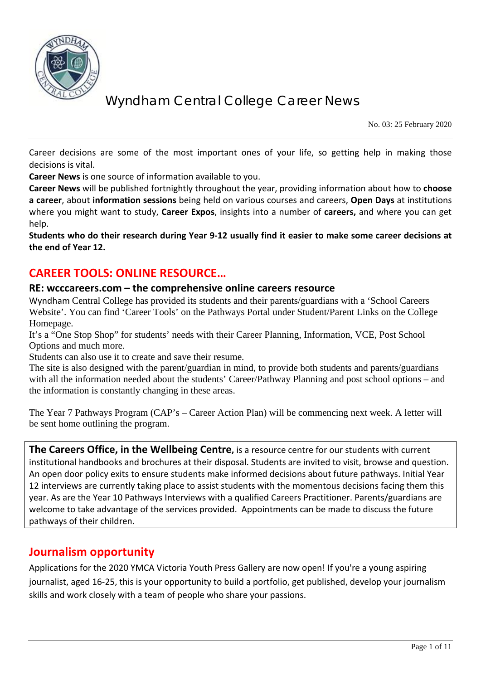

No. 03: 25 February 2020

Career decisions are some of the most important ones of your life, so getting help in making those decisions is vital.

**Career News** is one source of information available to you.

**Career News** will be published fortnightly throughout the year, providing information about how to **choose a career**, about **information sessions** being held on various courses and careers, **Open Days** at institutions where you might want to study, **Career Expos**, insights into a number of **careers,** and where you can get help.

**Students who do their research during Year 9-12 usually find it easier to make some career decisions at the end of Year 12.**

# **CAREER TOOLS: ONLINE RESOURCE…**

### **RE: wcccareers.com – the comprehensive online careers resource**

Wyndham Central College has provided its students and their parents/guardians with a 'School Careers Website'. You can find 'Career Tools' on the Pathways Portal under Student/Parent Links on the College Homepage.

It's a "One Stop Shop" for students' needs with their Career Planning, Information, VCE, Post School Options and much more.

Students can also use it to create and save their resume.

The site is also designed with the parent/guardian in mind, to provide both students and parents/guardians with all the information needed about the students' Career/Pathway Planning and post school options – and the information is constantly changing in these areas.

The Year 7 Pathways Program (CAP's – Career Action Plan) will be commencing next week. A letter will be sent home outlining the program.

**The Careers Office, in the Wellbeing Centre,** is a resource centre for our students with current institutional handbooks and brochures at their disposal. Students are invited to visit, browse and question. An open door policy exits to ensure students make informed decisions about future pathways. Initial Year 12 interviews are currently taking place to assist students with the momentous decisions facing them this year. As are the Year 10 Pathways Interviews with a qualified Careers Practitioner. Parents/guardians are welcome to take advantage of the services provided. Appointments can be made to discuss the future pathways of their children.

# **Journalism opportunity**

Applications for the 2020 YMCA Victoria Youth Press Gallery are now open! If you're a young aspiring journalist, aged 16-25, this is your opportunity to build a portfolio, get published, develop your journalism skills and work closely with a team of people who share your passions.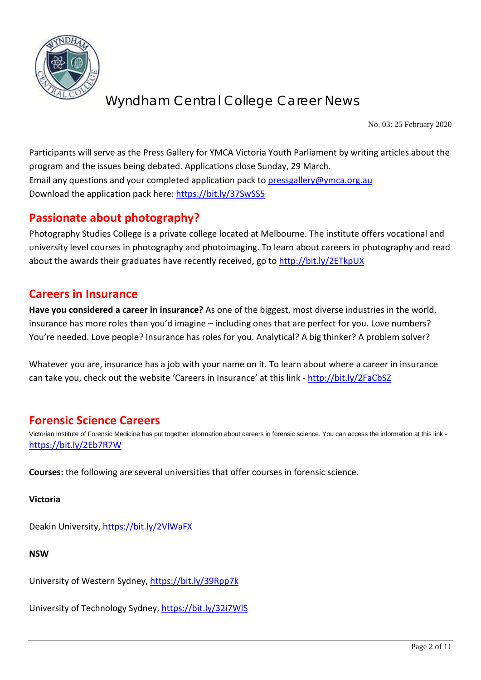

No. 03: 25 February 2020

Participants will serve as the Press Gallery for YMCA Victoria Youth Parliament by writing articles about the program and the issues being debated. Applications close Sunday, 29 March. Email any questions and your completed application pack to [pressgallery@ymca.org.au](mailto:pressgallery@ymca.org.au) Download the application pack here:<https://bit.ly/37SwSS5>

# **Passionate about photography?**

Photography Studies College is a private college located at Melbourne. The institute offers vocational and university level courses in photography and photoimaging. To learn about careers in photography and read about the awards their graduates have recently received, go to<http://bit.ly/2ETkpUX>

## **Careers in Insurance**

**Have you considered a career in insurance?** As one of the biggest, most diverse industries in the world, insurance has more roles than you'd imagine – including ones that are perfect for you. Love numbers? You're needed. Love people? Insurance has roles for you. Analytical? A big thinker? A problem solver?

Whatever you are, insurance has a job with your name on it. To learn about where a career in insurance can take you, check out the website 'Careers in Insurance' at this link - <http://bit.ly/2FaCbSZ>

# **Forensic Science Careers**

Victorian Institute of Forensic Medicine has put together information about careers in forensic science. You can access the information at this link <https://bit.ly/2Eb7R7W>

**Courses:** the following are several universities that offer courses in forensic science.

**Victoria**

Deakin University,<https://bit.ly/2VlWaFX>

**NSW**

University of Western Sydney,<https://bit.ly/39Rpp7k>

University of Technology Sydney,<https://bit.ly/32i7WlS>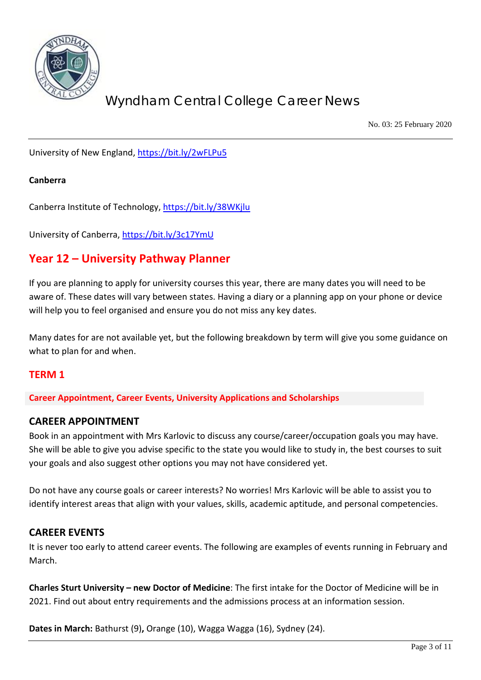

No. 03: 25 February 2020

University of New England,<https://bit.ly/2wFLPu5>

#### **Canberra**

Canberra Institute of Technology,<https://bit.ly/38WKjlu>

University of Canberra,<https://bit.ly/3c17YmU>

# **Year 12 – University Pathway Planner**

If you are planning to apply for university courses this year, there are many dates you will need to be aware of. These dates will vary between states. Having a diary or a planning app on your phone or device will help you to feel organised and ensure you do not miss any key dates.

Many dates for are not available yet, but the following breakdown by term will give you some guidance on what to plan for and when.

#### **TERM 1**

**Career Appointment, Career Events, University Applications and Scholarships**

#### **CAREER APPOINTMENT**

Book in an appointment with Mrs Karlovic to discuss any course/career/occupation goals you may have. She will be able to give you advise specific to the state you would like to study in, the best courses to suit your goals and also suggest other options you may not have considered yet.

Do not have any course goals or career interests? No worries! Mrs Karlovic will be able to assist you to identify interest areas that align with your values, skills, academic aptitude, and personal competencies.

#### **CAREER EVENTS**

It is never too early to attend career events. The following are examples of events running in February and March.

**Charles Sturt University – new Doctor of Medicine**: The first intake for the Doctor of Medicine will be in 2021. Find out about entry requirements and the admissions process at an information session.

**Dates in March:** Bathurst (9)**,** Orange (10), Wagga Wagga (16), Sydney (24).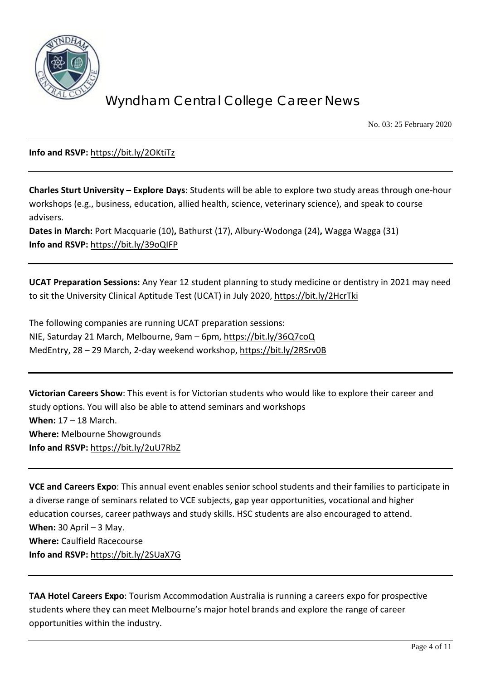

No. 03: 25 February 2020

**Info and RSVP:** <https://bit.ly/2OKtiTz>

**Charles Sturt University – Explore Days**: Students will be able to explore two study areas through one-hour workshops (e.g., business, education, allied health, science, veterinary science), and speak to course advisers.

**Dates in March:** Port Macquarie (10)**,** Bathurst (17), Albury-Wodonga (24)**,** Wagga Wagga (31) **Info and RSVP:** <https://bit.ly/39oQIFP>

**UCAT Preparation Sessions:** Any Year 12 student planning to study medicine or dentistry in 2021 may need to sit the University Clinical Aptitude Test (UCAT) in July 2020[, https://bit.ly/2HcrTki](https://bit.ly/2HcrTki)

The following companies are running UCAT preparation sessions: NIE, Saturday 21 March, Melbourne, 9am – 6pm,<https://bit.ly/36Q7coQ> MedEntry, 28 – 29 March, 2-day weekend workshop,<https://bit.ly/2RSrv0B>

**Victorian Careers Show**: This event is for Victorian students who would like to explore their career and study options. You will also be able to attend seminars and workshops **When:** 17 – 18 March. **Where:** Melbourne Showgrounds **Info and RSVP:** <https://bit.ly/2uU7RbZ>

**VCE and Careers Expo**: This annual event enables senior school students and their families to participate in a diverse range of seminars related to VCE subjects, gap year opportunities, vocational and higher education courses, career pathways and study skills. HSC students are also encouraged to attend. **When:** 30 April – 3 May. **Where:** Caulfield Racecourse **Info and RSVP:** <https://bit.ly/2SUaX7G>

**TAA Hotel Careers Expo**: Tourism Accommodation Australia is running a careers expo for prospective students where they can meet Melbourne's major hotel brands and explore the range of career opportunities within the industry.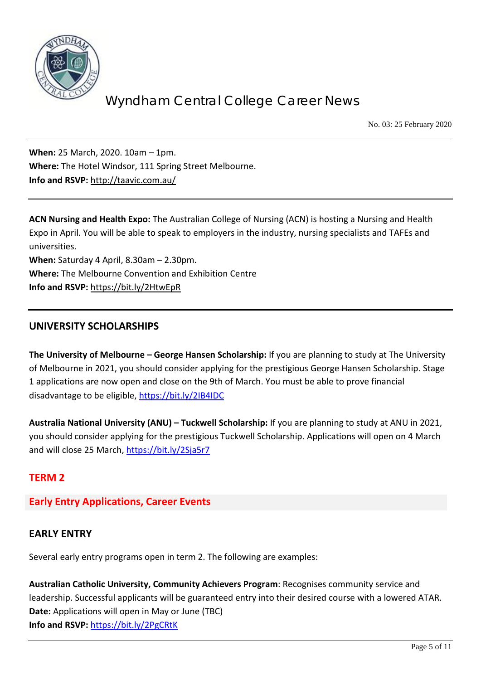

No. 03: 25 February 2020

**When:** 25 March, 2020. 10am – 1pm. **Where:** The Hotel Windsor, 111 Spring Street Melbourne. **Info and RSVP:** <http://taavic.com.au/>

**ACN Nursing and Health Expo:** The Australian College of Nursing (ACN) is hosting a Nursing and Health Expo in April. You will be able to speak to employers in the industry, nursing specialists and TAFEs and universities. **When:** Saturday 4 April, 8.30am – 2.30pm. **Where:** The Melbourne Convention and Exhibition Centre

**Info and RSVP:** <https://bit.ly/2HtwEpR>

## **UNIVERSITY SCHOLARSHIPS**

**The University of Melbourne – George Hansen Scholarship:** If you are planning to study at The University of Melbourne in 2021, you should consider applying for the prestigious George Hansen Scholarship. Stage 1 applications are now open and close on the 9th of March. You must be able to prove financial disadvantage to be eligible,<https://bit.ly/2IB4IDC>

**Australia National University (ANU) – Tuckwell Scholarship:** If you are planning to study at ANU in 2021, you should consider applying for the prestigious Tuckwell Scholarship. Applications will open on 4 March and will close 25 March,<https://bit.ly/2Sja5r7>

## **TERM 2**

## **Early Entry Applications, Career Events**

## **EARLY ENTRY**

Several early entry programs open in term 2. The following are examples:

**Australian Catholic University, Community Achievers Program**: Recognises community service and leadership. Successful applicants will be guaranteed entry into their desired course with a lowered ATAR. **Date:** Applications will open in May or June (TBC) **Info and RSVP:** <https://bit.ly/2PgCRtK>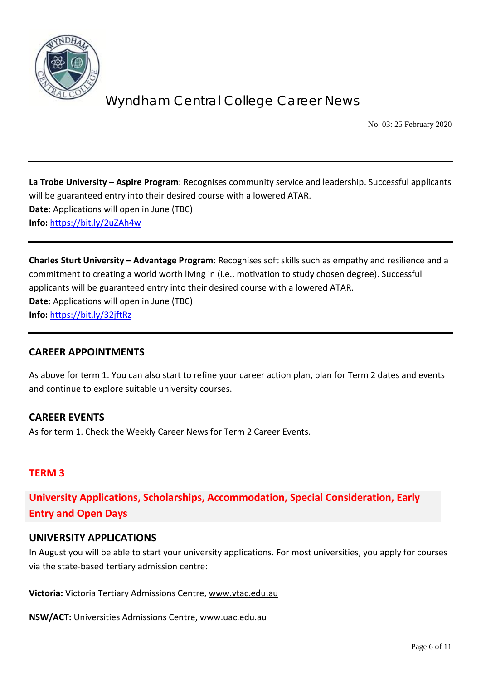

No. 03: 25 February 2020

**La Trobe University – Aspire Program**: Recognises community service and leadership. Successful applicants will be guaranteed entry into their desired course with a lowered ATAR. **Date:** Applications will open in June (TBC) **Info:** <https://bit.ly/2uZAh4w>

**Charles Sturt University – Advantage Program**: Recognises soft skills such as empathy and resilience and a commitment to creating a world worth living in (i.e., motivation to study chosen degree). Successful applicants will be guaranteed entry into their desired course with a lowered ATAR. **Date:** Applications will open in June (TBC) **Info:** <https://bit.ly/32jftRz>

## **CAREER APPOINTMENTS**

As above for term 1. You can also start to refine your career action plan, plan for Term 2 dates and events and continue to explore suitable university courses.

## **CAREER EVENTS**

As for term 1. Check the Weekly Career News for Term 2 Career Events.

## **TERM 3**

**University Applications, Scholarships, Accommodation, Special Consideration, Early Entry and Open Days**

#### **UNIVERSITY APPLICATIONS**

In August you will be able to start your university applications. For most universities, you apply for courses via the state-based tertiary admission centre:

**Victoria:** Victoria Tertiary Admissions Centre, [www.vtac.edu.au](http://www.vtac.edu.au/)

**NSW/ACT:** Universities Admissions Centre, [www.uac.edu.au](http://www.uac.edu.au/)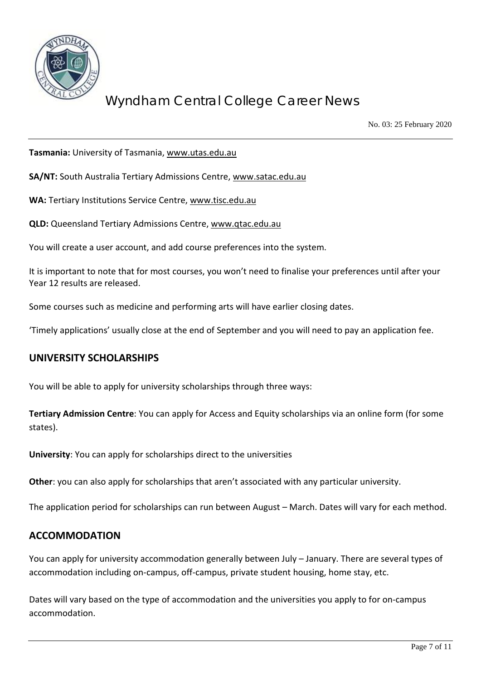

No. 03: 25 February 2020

**Tasmania:** University of Tasmania, [www.utas.edu.au](http://www.utas.edu.au/)

**SA/NT:** South Australia Tertiary Admissions Centre, [www.satac.edu.au](http://www.satac.edu.au/)

**WA:** Tertiary Institutions Service Centre, [www.tisc.edu.au](http://www.tisc.edu.au/)

**QLD:** Queensland Tertiary Admissions Centre, [www.qtac.edu.au](http://www.qtac.edu.au/)

You will create a user account, and add course preferences into the system.

It is important to note that for most courses, you won't need to finalise your preferences until after your Year 12 results are released.

Some courses such as medicine and performing arts will have earlier closing dates.

'Timely applications' usually close at the end of September and you will need to pay an application fee.

#### **UNIVERSITY SCHOLARSHIPS**

You will be able to apply for university scholarships through three ways:

**Tertiary Admission Centre**: You can apply for Access and Equity scholarships via an online form (for some states).

**University**: You can apply for scholarships direct to the universities

**Other**: you can also apply for scholarships that aren't associated with any particular university.

The application period for scholarships can run between August – March. Dates will vary for each method.

## **ACCOMMODATION**

You can apply for university accommodation generally between July – January. There are several types of accommodation including on-campus, off-campus, private student housing, home stay, etc.

Dates will vary based on the type of accommodation and the universities you apply to for on-campus accommodation.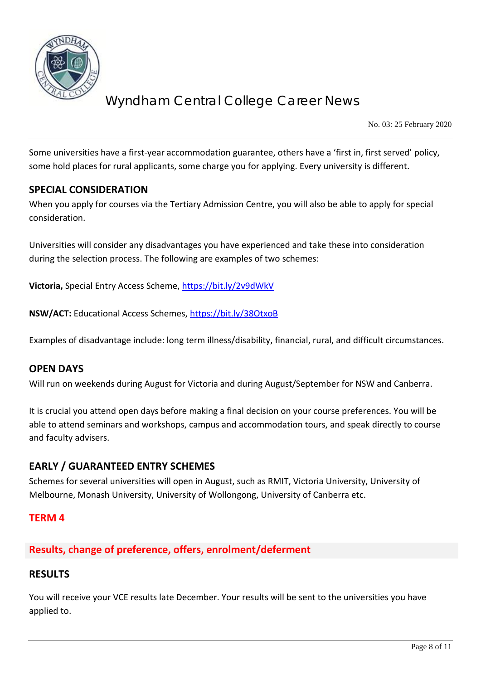

No. 03: 25 February 2020

Some universities have a first-year accommodation guarantee, others have a 'first in, first served' policy, some hold places for rural applicants, some charge you for applying. Every university is different.

### **SPECIAL CONSIDERATION**

When you apply for courses via the Tertiary Admission Centre, you will also be able to apply for special consideration.

Universities will consider any disadvantages you have experienced and take these into consideration during the selection process. The following are examples of two schemes:

**Victoria,** Special Entry Access Scheme,<https://bit.ly/2v9dWkV>

**NSW/ACT:** Educational Access Schemes,<https://bit.ly/38OtxoB>

Examples of disadvantage include: long term illness/disability, financial, rural, and difficult circumstances.

#### **OPEN DAYS**

Will run on weekends during August for Victoria and during August/September for NSW and Canberra.

It is crucial you attend open days before making a final decision on your course preferences. You will be able to attend seminars and workshops, campus and accommodation tours, and speak directly to course and faculty advisers.

## **EARLY / GUARANTEED ENTRY SCHEMES**

Schemes for several universities will open in August, such as RMIT, Victoria University, University of Melbourne, Monash University, University of Wollongong, University of Canberra etc.

#### **TERM 4**

# **Results, change of preference, offers, enrolment/deferment**

## **RESULTS**

You will receive your VCE results late December. Your results will be sent to the universities you have applied to.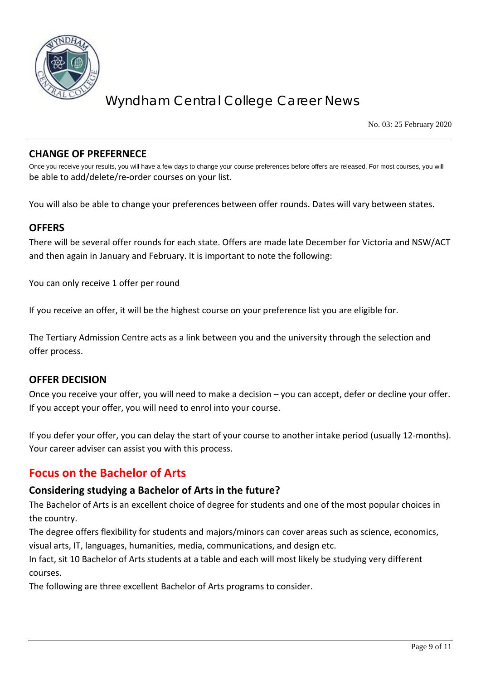

No. 03: 25 February 2020

### **CHANGE OF PREFERNECE**

Once you receive your results, you will have a few days to change your course preferences before offers are released. For most courses, you will be able to add/delete/re-order courses on your list.

You will also be able to change your preferences between offer rounds. Dates will vary between states.

### **OFFERS**

There will be several offer rounds for each state. Offers are made late December for Victoria and NSW/ACT and then again in January and February. It is important to note the following:

You can only receive 1 offer per round

If you receive an offer, it will be the highest course on your preference list you are eligible for.

The Tertiary Admission Centre acts as a link between you and the university through the selection and offer process.

#### **OFFER DECISION**

Once you receive your offer, you will need to make a decision – you can accept, defer or decline your offer. If you accept your offer, you will need to enrol into your course.

If you defer your offer, you can delay the start of your course to another intake period (usually 12-months). Your career adviser can assist you with this process.

# **Focus on the Bachelor of Arts**

## **Considering studying a Bachelor of Arts in the future?**

The Bachelor of Arts is an excellent choice of degree for students and one of the most popular choices in the country.

The degree offers flexibility for students and majors/minors can cover areas such as science, economics, visual arts, IT, languages, humanities, media, communications, and design etc.

In fact, sit 10 Bachelor of Arts students at a table and each will most likely be studying very different courses.

The following are three excellent Bachelor of Arts programs to consider.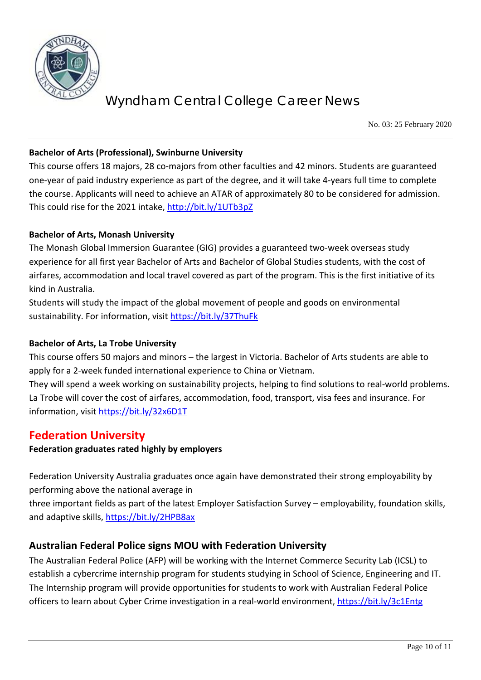

No. 03: 25 February 2020

### **Bachelor of Arts (Professional), Swinburne University**

This course offers 18 majors, 28 co-majors from other faculties and 42 minors. Students are guaranteed one-year of paid industry experience as part of the degree, and it will take 4-years full time to complete the course. Applicants will need to achieve an ATAR of approximately 80 to be considered for admission. This could rise for the 2021 intake,<http://bit.ly/1UTb3pZ>

### **Bachelor of Arts, Monash University**

The Monash Global Immersion Guarantee (GIG) provides a guaranteed two-week overseas study experience for all first year Bachelor of Arts and Bachelor of Global Studies students, with the cost of airfares, accommodation and local travel covered as part of the program. This is the first initiative of its kind in Australia.

Students will study the impact of the global movement of people and goods on environmental sustainability. For information, visit<https://bit.ly/37ThuFk>

#### **Bachelor of Arts, La Trobe University**

This course offers 50 majors and minors – the largest in Victoria. Bachelor of Arts students are able to apply for a 2-week funded international experience to China or Vietnam.

They will spend a week working on sustainability projects, helping to find solutions to real-world problems. La Trobe will cover the cost of airfares, accommodation, food, transport, visa fees and insurance. For information, visit<https://bit.ly/32x6D1T>

# **Federation University**

#### **Federation graduates rated highly by employers**

Federation University Australia graduates once again have demonstrated their strong employability by performing above the national average in

three important fields as part of the latest Employer Satisfaction Survey – employability, foundation skills, and adaptive skills,<https://bit.ly/2HPB8ax>

## **Australian Federal Police signs MOU with Federation University**

The Australian Federal Police (AFP) will be working with the Internet Commerce Security Lab (ICSL) to establish a cybercrime internship program for students studying in School of Science, Engineering and IT. The Internship program will provide opportunities for students to work with Australian Federal Police officers to learn about Cyber Crime investigation in a real-world environment,<https://bit.ly/3c1Entg>